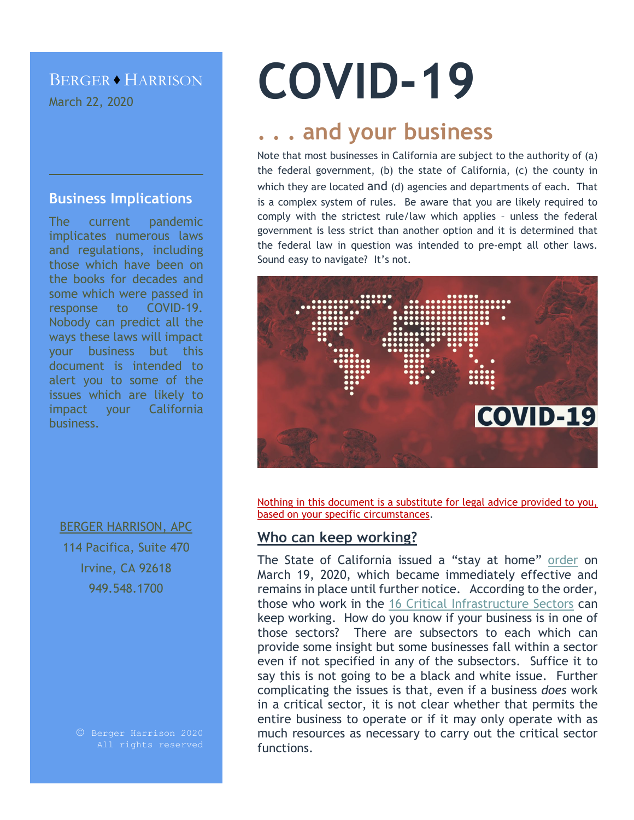### BERGER · HARRISON March 22, 2020

#### **Business Implications**

The current pandemic implicates numerous laws and regulations, including those which have been on the books for decades and some which were passed in response to COVID-19. Nobody can predict all the ways these laws will impact your business but this document is intended to alert you to some of the issues which are likely to impact your California business.

BERGER HARRISON, APC 114 Pacifica, Suite 470 Irvine, CA 92618 949.548.1700

# **COVID-19**

## **. . . and your business**

Note that most businesses in California are subject to the authority of (a) the federal government, (b) the state of California, (c) the county in which they are located and (d) agencies and departments of each. That is a complex system of rules. Be aware that you are likely required to comply with the strictest rule/law which applies – unless the federal government is less strict than another option and it is determined that the federal law in question was intended to pre-empt all other laws. Sound easy to navigate? It's not.



Nothing in this document is a substitute for legal advice provided to you, based on your specific circumstances.

#### **Who can keep working?**

The State of California issued a "stay at home" [order](https://covid19.ca.gov/img/Executive-Order-N-33-20.pdf) on March 19, 2020, which became immediately effective and remains in place until further notice. According to the order, those who work in the [16 Critical Infrastructure Sectors](https://www.cisa.gov/critical-infrastructure-sectors) can keep working. How do you know if your business is in one of those sectors? There are subsectors to each which can provide some insight but some businesses fall within a sector even if not specified in any of the subsectors. Suffice it to say this is not going to be a black and white issue. Further complicating the issues is that, even if a business *does* work in a critical sector, it is not clear whether that permits the entire business to operate or if it may only operate with as much resources as necessary to carry out the critical sector functions.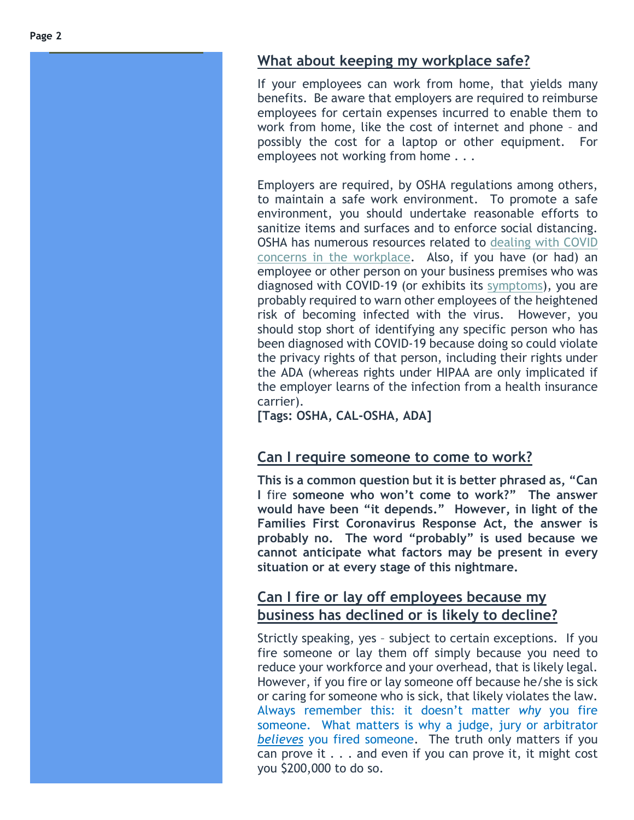#### **What about keeping my workplace safe?**

If your employees can work from home, that yields many benefits. Be aware that employers are required to reimburse employees for certain expenses incurred to enable them to work from home, like the cost of internet and phone – and possibl y the cost for a laptop or other equipment. For employees not working from home . . .

Employers are required, by OSHA regulations among others, to maintain a safe work environment. To promote a safe environment, you should undertake reasonable efforts to sanitize items and surfaces and to enforce social distancing. OSHA has numerous resources related to [dealing with COVID](https://www.osha.gov/SLTC/covid-19/)  [concerns in the workplace.](https://www.osha.gov/SLTC/covid-19/) Also, if you have (or had) an employee or other person on your business premises who was diagnosed with COVID-19 (or exhibits its [symptoms\)](https://www.cdc.gov/coronavirus/2019-ncov/symptoms-testing/symptoms.html), you are probably required to warn other employees of the heightened risk of becoming infected with the virus. However, you should stop short of identifying any specific person who has been diagnosed with COVID -19 because doing so could violate the privacy rights of that person, including their rights under the ADA (whereas rights under HIPAA are only implicated if the employer learns of the infection from a health insurance carrier).

**[Tags: OSHA, CAL -OSHA, ADA]**

#### **Can I require someone to come to work?**

**This is a common question but it is better phrased as, "Can I** fire **someone who won't come to work?" The answer would have been "it depends." However, in light of the Families First Coronavirus Response Act, the answer is probably no. The word "probably" is used because we cannot anticipate what factors may be present in every situation or at every stage of this nightmare .**

#### **Can I fire or lay off employees because my business has declined or is likely to decline?**

Strictly speaking, yes - subject to certain exceptions. If you fire someone or lay them off simply because you need to reduce your workforce and your overhead, that is likely legal. However, if you fire or lay someone off because he/she is sick or caring for someone who is sick, that likely violates the law. Always remember this: it doesn't matter *why* you fire someone. What matters is why a judge, jury or arbitrator *believes* you fired someone. The truth only matters if you can prove it  $\ldots$  and even if you can prove it, it might cost you \$200,000 to do so.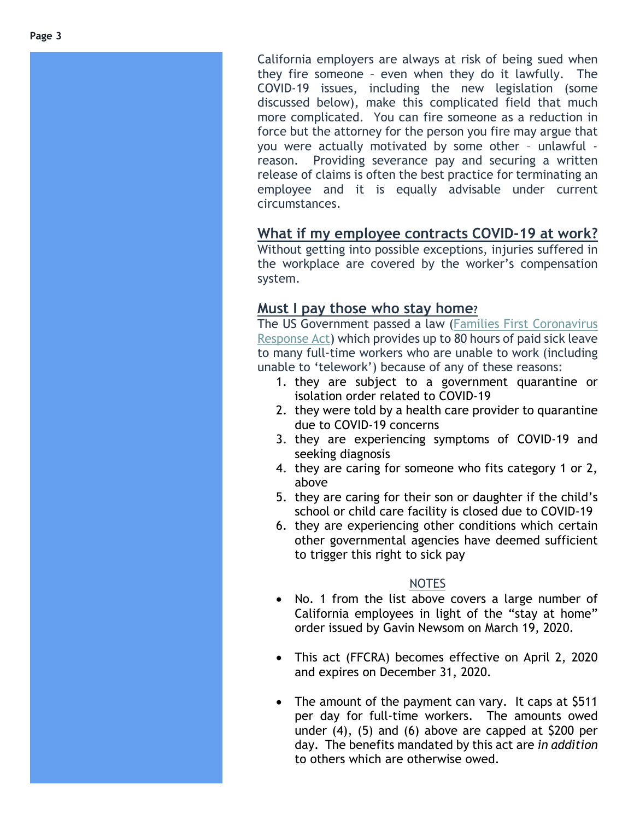California employers are always at risk of being sued when they fire someone – even when they do it lawfully. The COVID -19 issues, including the new legislation (some discussed below), make this complicated field that much more complicated. You can fire someone as a reduction in force but the attorney for the person you fire may argue that you were actually motivated by some other – unlawful reason. Providing severance pay and securing a written release of claims is often the best practice for terminating an employee and it is equally advisable under current circumstances.

#### **What if my employee contracts COVID -19 at work?**

Without getting into possible exceptions, injuries suffered in the workplace are covered by the worker's compensation system.

#### **Must I pay those who stay home ?**

The US Government passed a law [\(Families First Coronavirus](https://www.congress.gov/bill/116th-congress/house-bill/6201/text)  [Response Act\)](https://www.congress.gov/bill/116th-congress/house-bill/6201/text) which provides up to 80 hours of paid sick leave to many full -time workers who are unable to work (including unable to 'telework') because of any of these reasons:

- 1. they are subject to a government quarantine or isolation order related to COVID -19
- 2. they were told by a health care provider to quarantine due to COVID -19 concerns
- 3. they are experiencing symptoms of COVID -19 and seeking diagnosis
- 4. they are caring for someone who fits category 1 or 2, above
- 5. they are caring for their son or daughter if the child's school or child care facility is closed due to COVID -19
- 6. they are experiencing other conditions which certain other governmental agencies have deemed sufficient to trigger this right to sick pay

#### NOTES

- No. 1 from the list above covers a large number of California employees in light of the "stay at home" order issued by Gavin Newsom on March 19, 2020.
- This act (FFCRA) becomes effective on April 2, 2020 and expires on December 31, 2020.
- The amount of the payment can vary. It caps at \$511 per day for full -time workers. The amounts owed under (4), (5) and (6) above are capped at \$200 per day. The benefits mandated by this act are *in addition* to others which are otherwise owed.